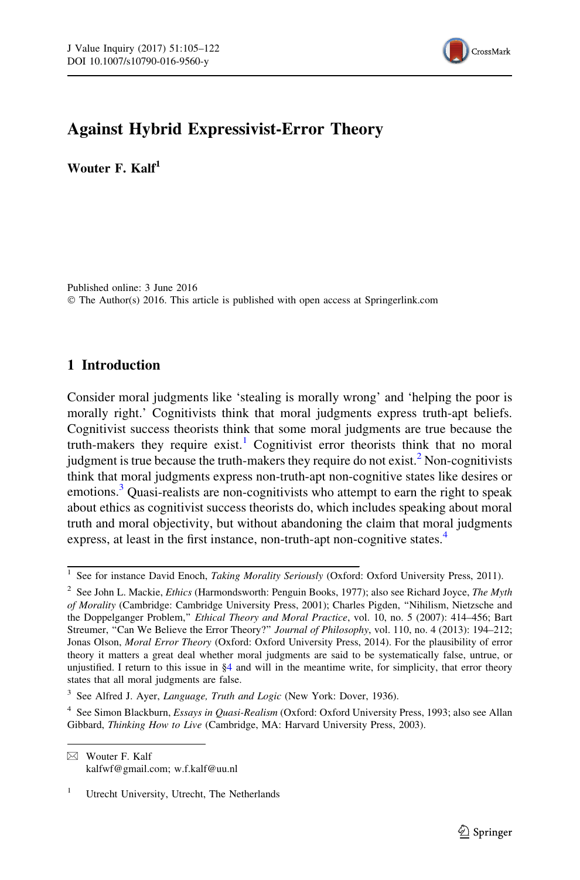

# Against Hybrid Expressivist-Error Theory

Wouter F. Kalf<sup>1</sup>

Published online: 3 June 2016 © The Author(s) 2016. This article is published with open access at Springerlink.com

# 1 Introduction

Consider moral judgments like 'stealing is morally wrong' and 'helping the poor is morally right.' Cognitivists think that moral judgments express truth-apt beliefs. Cognitivist success theorists think that some moral judgments are true because the truth-makers they require exist.<sup>1</sup> Cognitivist error theorists think that no moral judgment is true because the truth-makers they require do not exist.<sup>2</sup> Non-cognitivists think that moral judgments express non-truth-apt non-cognitive states like desires or emotions.<sup>3</sup> Quasi-realists are non-cognitivists who attempt to earn the right to speak about ethics as cognitivist success theorists do, which includes speaking about moral truth and moral objectivity, but without abandoning the claim that moral judgments express, at least in the first instance, non-truth-apt non-cognitive states.<sup>4</sup>

See for instance David Enoch, Taking Morality Seriously (Oxford: Oxford University Press, 2011).

<sup>&</sup>lt;sup>2</sup> See John L. Mackie, *Ethics* (Harmondsworth: Penguin Books, 1977); also see Richard Joyce, *The Myth* of Morality (Cambridge: Cambridge University Press, 2001); Charles Pigden, ''Nihilism, Nietzsche and the Doppelganger Problem," *Ethical Theory and Moral Practice*, vol. 10, no. 5 (2007): 414–456; Bart Streumer, "Can We Believe the Error Theory?" Journal of Philosophy, vol. 110, no. 4 (2013): 194–212; Jonas Olson, Moral Error Theory (Oxford: Oxford University Press, 2014). For the plausibility of error theory it matters a great deal whether moral judgments are said to be systematically false, untrue, or unjustified. I return to this issue in  $\S4$  and will in the meantime write, for simplicity, that error theory states that all moral judgments are false.

<sup>&</sup>lt;sup>3</sup> See Alfred J. Ayer, *Language, Truth and Logic* (New York: Dover, 1936).

<sup>&</sup>lt;sup>4</sup> See Simon Blackburn, *Essays in Quasi-Realism* (Oxford: Oxford University Press, 1993; also see Allan Gibbard, Thinking How to Live (Cambridge, MA: Harvard University Press, 2003).

 $\boxtimes$  Wouter F. Kalf kalfwf@gmail.com; w.f.kalf@uu.nl

<sup>&</sup>lt;sup>1</sup> Utrecht University, Utrecht, The Netherlands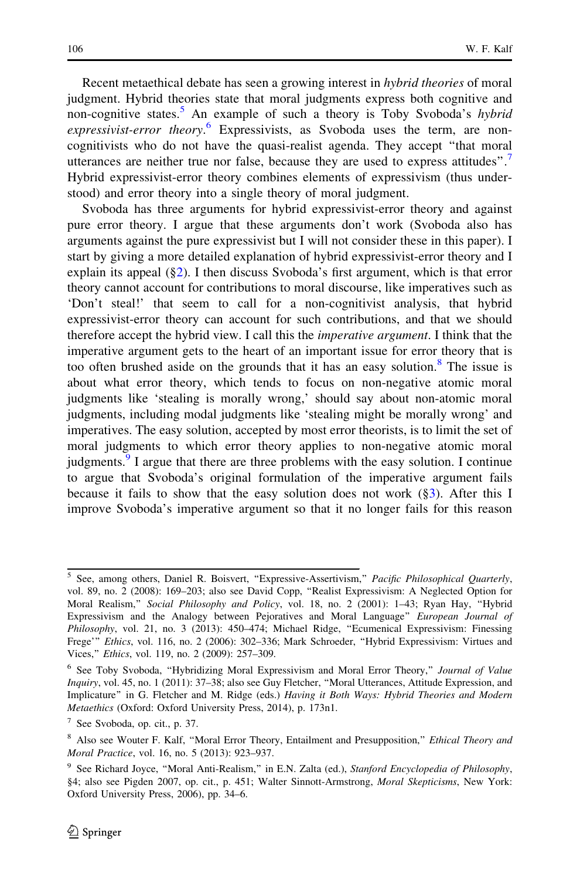Recent metaethical debate has seen a growing interest in hybrid theories of moral judgment. Hybrid theories state that moral judgments express both cognitive and non-cognitive states.<sup>5</sup> An example of such a theory is Toby Svoboda's *hybrid* expressivist-error theory.<sup>6</sup> Expressivists, as Svoboda uses the term, are noncognitivists who do not have the quasi-realist agenda. They accept ''that moral utterances are neither true nor false, because they are used to express attitudes".<sup>7</sup> Hybrid expressivist-error theory combines elements of expressivism (thus understood) and error theory into a single theory of moral judgment.

Svoboda has three arguments for hybrid expressivist-error theory and against pure error theory. I argue that these arguments don't work (Svoboda also has arguments against the pure expressivist but I will not consider these in this paper). I start by giving a more detailed explanation of hybrid expressivist-error theory and I explain its appeal (§[2\)](#page-2-0). I then discuss Svoboda's first argument, which is that error theory cannot account for contributions to moral discourse, like imperatives such as 'Don't steal!' that seem to call for a non-cognitivist analysis, that hybrid expressivist-error theory can account for such contributions, and that we should therefore accept the hybrid view. I call this the imperative argument. I think that the imperative argument gets to the heart of an important issue for error theory that is too often brushed aside on the grounds that it has an easy solution.<sup>8</sup> The issue is about what error theory, which tends to focus on non-negative atomic moral judgments like 'stealing is morally wrong,' should say about non-atomic moral judgments, including modal judgments like 'stealing might be morally wrong' and imperatives. The easy solution, accepted by most error theorists, is to limit the set of moral judgments to which error theory applies to non-negative atomic moral judgments. $9$  I argue that there are three problems with the easy solution. I continue to argue that Svoboda's original formulation of the imperative argument fails because it fails to show that the easy solution does not work  $(\S3)$ . After this I improve Svoboda's imperative argument so that it no longer fails for this reason

<sup>&</sup>lt;sup>5</sup> See, among others, Daniel R. Boisvert, "Expressive-Assertivism," Pacific Philosophical Quarterly, vol. 89, no. 2 (2008): 169–203; also see David Copp, ''Realist Expressivism: A Neglected Option for Moral Realism," Social Philosophy and Policy, vol. 18, no. 2 (2001): 1–43; Ryan Hay, "Hybrid Expressivism and the Analogy between Pejoratives and Moral Language" European Journal of Philosophy, vol. 21, no. 3 (2013): 450–474; Michael Ridge, ''Ecumenical Expressivism: Finessing Frege''' Ethics, vol. 116, no. 2 (2006): 302–336; Mark Schroeder, ''Hybrid Expressivism: Virtues and Vices,'' Ethics, vol. 119, no. 2 (2009): 257–309.

<sup>&</sup>lt;sup>6</sup> See Toby Svoboda, "Hybridizing Moral Expressivism and Moral Error Theory," Journal of Value Inquiry, vol. 45, no. 1 (2011): 37–38; also see Guy Fletcher, ''Moral Utterances, Attitude Expression, and Implicature'' in G. Fletcher and M. Ridge (eds.) Having it Both Ways: Hybrid Theories and Modern Metaethics (Oxford: Oxford University Press, 2014), p. 173n1.

<sup>7</sup> See Svoboda, op. cit., p. 37.

<sup>&</sup>lt;sup>8</sup> Also see Wouter F. Kalf, "Moral Error Theory, Entailment and Presupposition," *Ethical Theory and* Moral Practice, vol. 16, no. 5 (2013): 923–937.

<sup>&</sup>lt;sup>9</sup> See Richard Joyce, "Moral Anti-Realism," in E.N. Zalta (ed.), Stanford Encyclopedia of Philosophy, §4; also see Pigden 2007, op. cit., p. 451; Walter Sinnott-Armstrong, Moral Skepticisms, New York: Oxford University Press, 2006), pp. 34–6.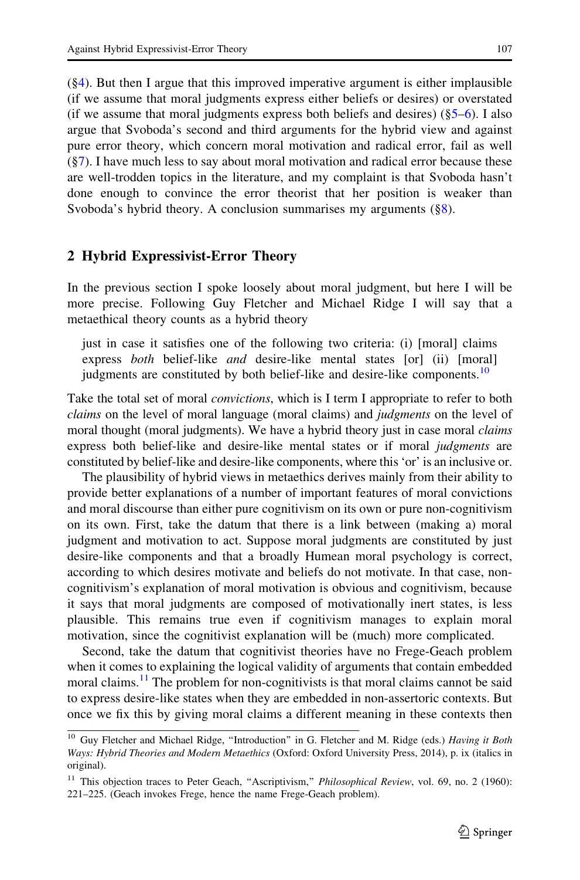<span id="page-2-0"></span>([§4](#page-9-0)). But then I argue that this improved imperative argument is either implausible (if we assume that moral judgments express either beliefs or desires) or overstated (if we assume that moral judgments express both beliefs and desires)  $(\S 5-6)$ . I also argue that Svoboda's second and third arguments for the hybrid view and against pure error theory, which concern moral motivation and radical error, fail as well ([§7](#page-16-0)). I have much less to say about moral motivation and radical error because these are well-trodden topics in the literature, and my complaint is that Svoboda hasn't done enough to convince the error theorist that her position is weaker than Svoboda's hybrid theory. A conclusion summarises my arguments ([§8](#page-17-0)).

### 2 Hybrid Expressivist-Error Theory

In the previous section I spoke loosely about moral judgment, but here I will be more precise. Following Guy Fletcher and Michael Ridge I will say that a metaethical theory counts as a hybrid theory

just in case it satisfies one of the following two criteria: (i) [moral] claims express both belief-like and desire-like mental states [or] (ii) [moral] judgments are constituted by both belief-like and desire-like components.<sup>10</sup>

Take the total set of moral *convictions*, which is I term I appropriate to refer to both claims on the level of moral language (moral claims) and *judgments* on the level of moral thought (moral judgments). We have a hybrid theory just in case moral *claims* express both belief-like and desire-like mental states or if moral judgments are constituted by belief-like and desire-like components, where this 'or' is an inclusive or.

The plausibility of hybrid views in metaethics derives mainly from their ability to provide better explanations of a number of important features of moral convictions and moral discourse than either pure cognitivism on its own or pure non-cognitivism on its own. First, take the datum that there is a link between (making a) moral judgment and motivation to act. Suppose moral judgments are constituted by just desire-like components and that a broadly Humean moral psychology is correct, according to which desires motivate and beliefs do not motivate. In that case, noncognitivism's explanation of moral motivation is obvious and cognitivism, because it says that moral judgments are composed of motivationally inert states, is less plausible. This remains true even if cognitivism manages to explain moral motivation, since the cognitivist explanation will be (much) more complicated.

Second, take the datum that cognitivist theories have no Frege-Geach problem when it comes to explaining the logical validity of arguments that contain embedded moral claims.<sup>11</sup> The problem for non-cognitivists is that moral claims cannot be said to express desire-like states when they are embedded in non-assertoric contexts. But once we fix this by giving moral claims a different meaning in these contexts then

<sup>&</sup>lt;sup>10</sup> Guy Fletcher and Michael Ridge, "Introduction" in G. Fletcher and M. Ridge (eds.) Having it Both Ways: Hybrid Theories and Modern Metaethics (Oxford: Oxford University Press, 2014), p. ix (italics in original).

<sup>&</sup>lt;sup>11</sup> This objection traces to Peter Geach, "Ascriptivism," Philosophical Review, vol. 69, no. 2 (1960): 221–225. (Geach invokes Frege, hence the name Frege-Geach problem).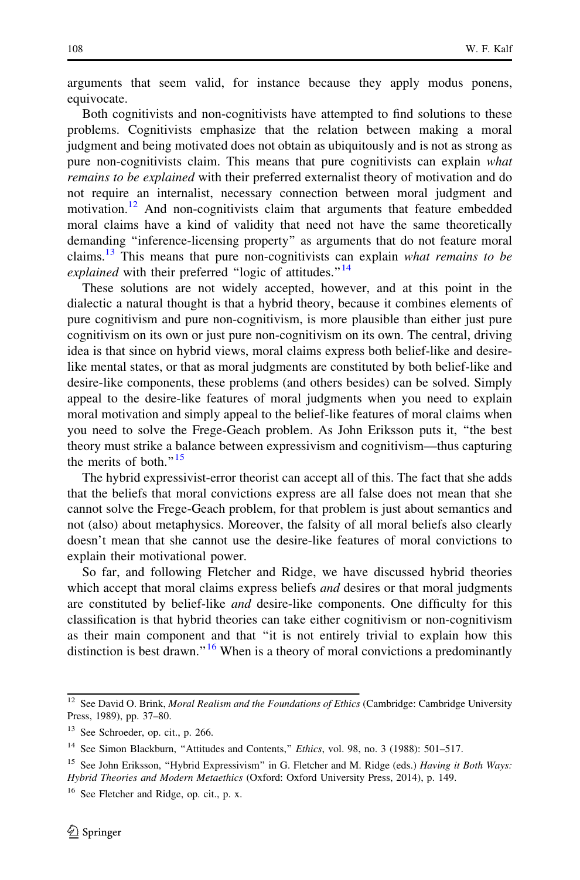arguments that seem valid, for instance because they apply modus ponens, equivocate.

Both cognitivists and non-cognitivists have attempted to find solutions to these problems. Cognitivists emphasize that the relation between making a moral judgment and being motivated does not obtain as ubiquitously and is not as strong as pure non-cognitivists claim. This means that pure cognitivists can explain what remains to be explained with their preferred externalist theory of motivation and do not require an internalist, necessary connection between moral judgment and motivation.<sup>12</sup> And non-cognitivists claim that arguments that feature embedded moral claims have a kind of validity that need not have the same theoretically demanding ''inference-licensing property'' as arguments that do not feature moral claims.<sup>13</sup> This means that pure non-cognitivists can explain what remains to be explained with their preferred "logic of attitudes."<sup>14</sup>

These solutions are not widely accepted, however, and at this point in the dialectic a natural thought is that a hybrid theory, because it combines elements of pure cognitivism and pure non-cognitivism, is more plausible than either just pure cognitivism on its own or just pure non-cognitivism on its own. The central, driving idea is that since on hybrid views, moral claims express both belief-like and desirelike mental states, or that as moral judgments are constituted by both belief-like and desire-like components, these problems (and others besides) can be solved. Simply appeal to the desire-like features of moral judgments when you need to explain moral motivation and simply appeal to the belief-like features of moral claims when you need to solve the Frege-Geach problem. As John Eriksson puts it, ''the best theory must strike a balance between expressivism and cognitivism—thus capturing the merits of both." $15$ 

The hybrid expressivist-error theorist can accept all of this. The fact that she adds that the beliefs that moral convictions express are all false does not mean that she cannot solve the Frege-Geach problem, for that problem is just about semantics and not (also) about metaphysics. Moreover, the falsity of all moral beliefs also clearly doesn't mean that she cannot use the desire-like features of moral convictions to explain their motivational power.

So far, and following Fletcher and Ridge, we have discussed hybrid theories which accept that moral claims express beliefs *and* desires or that moral judgments are constituted by belief-like and desire-like components. One difficulty for this classification is that hybrid theories can take either cognitivism or non-cognitivism as their main component and that ''it is not entirely trivial to explain how this distinction is best drawn."<sup>16</sup> When is a theory of moral convictions a predominantly

 $12$  See David O. Brink, Moral Realism and the Foundations of Ethics (Cambridge: Cambridge University Press, 1989), pp. 37–80.

<sup>13</sup> See Schroeder, op. cit., p. 266.

<sup>&</sup>lt;sup>14</sup> See Simon Blackburn, "Attitudes and Contents," Ethics, vol. 98, no. 3 (1988): 501-517.

<sup>&</sup>lt;sup>15</sup> See John Eriksson, "Hybrid Expressivism" in G. Fletcher and M. Ridge (eds.) *Having it Both Ways:* Hybrid Theories and Modern Metaethics (Oxford: Oxford University Press, 2014), p. 149.

<sup>&</sup>lt;sup>16</sup> See Fletcher and Ridge, op. cit., p. x.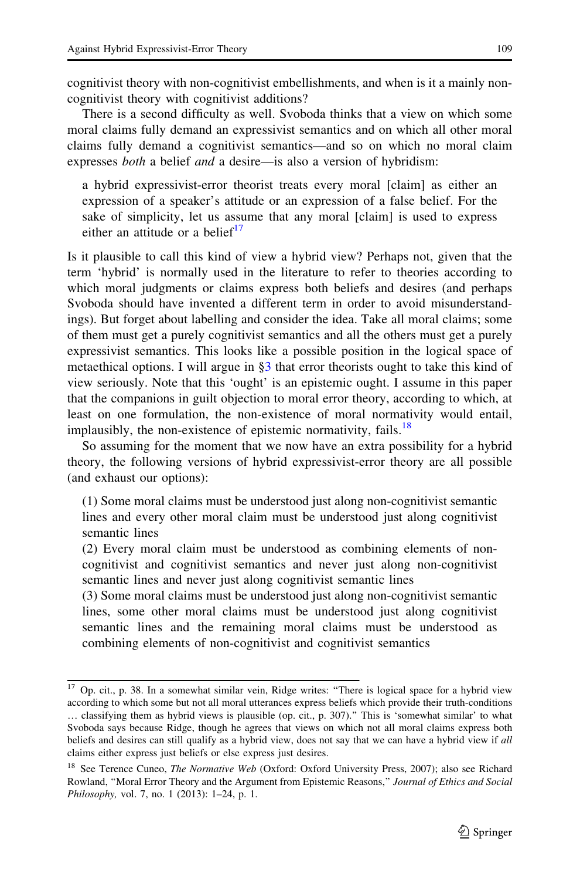There is a second difficulty as well. Svoboda thinks that a view on which some moral claims fully demand an expressivist semantics and on which all other moral claims fully demand a cognitivist semantics—and so on which no moral claim expresses *both* a belief *and* a desire—is also a version of hybridism:

a hybrid expressivist-error theorist treats every moral [claim] as either an expression of a speaker's attitude or an expression of a false belief. For the sake of simplicity, let us assume that any moral [claim] is used to express either an attitude or a belief $17$ 

Is it plausible to call this kind of view a hybrid view? Perhaps not, given that the term 'hybrid' is normally used in the literature to refer to theories according to which moral judgments or claims express both beliefs and desires (and perhaps Svoboda should have invented a different term in order to avoid misunderstandings). But forget about labelling and consider the idea. Take all moral claims; some of them must get a purely cognitivist semantics and all the others must get a purely expressivist semantics. This looks like a possible position in the logical space of metaethical options. I will argue in §[3](#page-5-0) that error theorists ought to take this kind of view seriously. Note that this 'ought' is an epistemic ought. I assume in this paper that the companions in guilt objection to moral error theory, according to which, at least on one formulation, the non-existence of moral normativity would entail, implausibly, the non-existence of epistemic normativity, fails.<sup>18</sup>

So assuming for the moment that we now have an extra possibility for a hybrid theory, the following versions of hybrid expressivist-error theory are all possible (and exhaust our options):

(1) Some moral claims must be understood just along non-cognitivist semantic lines and every other moral claim must be understood just along cognitivist semantic lines

(2) Every moral claim must be understood as combining elements of noncognitivist and cognitivist semantics and never just along non-cognitivist semantic lines and never just along cognitivist semantic lines

(3) Some moral claims must be understood just along non-cognitivist semantic lines, some other moral claims must be understood just along cognitivist semantic lines and the remaining moral claims must be understood as combining elements of non-cognitivist and cognitivist semantics

<sup>&</sup>lt;sup>17</sup> Op. cit., p. 38. In a somewhat similar vein, Ridge writes: "There is logical space for a hybrid view according to which some but not all moral utterances express beliefs which provide their truth-conditions … classifying them as hybrid views is plausible (op. cit., p. 307).'' This is 'somewhat similar' to what Svoboda says because Ridge, though he agrees that views on which not all moral claims express both beliefs and desires can still qualify as a hybrid view, does not say that we can have a hybrid view if all claims either express just beliefs or else express just desires.

<sup>&</sup>lt;sup>18</sup> See Terence Cuneo, *The Normative Web* (Oxford: Oxford University Press, 2007); also see Richard Rowland, "Moral Error Theory and the Argument from Epistemic Reasons," Journal of Ethics and Social Philosophy, vol. 7, no. 1 (2013): 1–24, p. 1.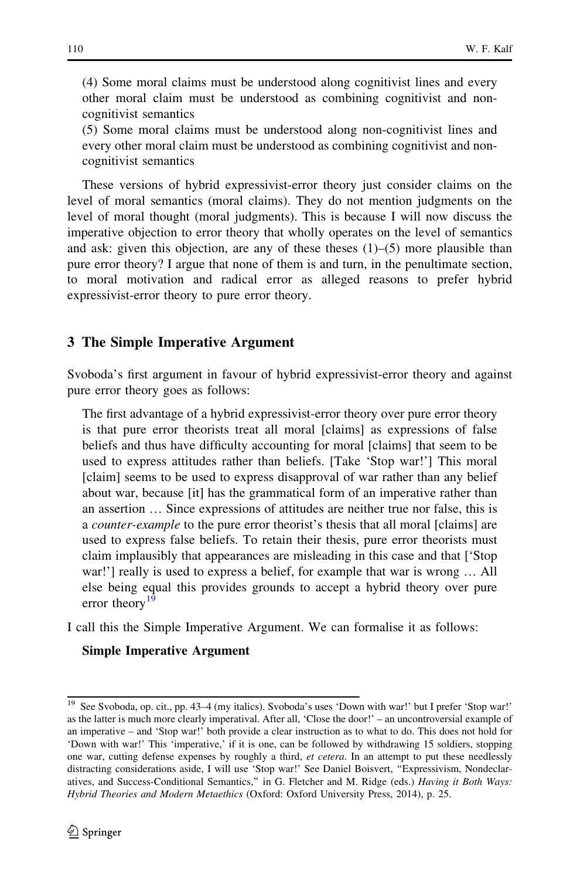<span id="page-5-0"></span>(4) Some moral claims must be understood along cognitivist lines and every other moral claim must be understood as combining cognitivist and noncognitivist semantics

(5) Some moral claims must be understood along non-cognitivist lines and every other moral claim must be understood as combining cognitivist and noncognitivist semantics

These versions of hybrid expressivist-error theory just consider claims on the level of moral semantics (moral claims). They do not mention judgments on the level of moral thought (moral judgments). This is because I will now discuss the imperative objection to error theory that wholly operates on the level of semantics and ask: given this objection, are any of these theses  $(1)$ – $(5)$  more plausible than pure error theory? I argue that none of them is and turn, in the penultimate section, to moral motivation and radical error as alleged reasons to prefer hybrid expressivist-error theory to pure error theory.

#### 3 The Simple Imperative Argument

Svoboda's first argument in favour of hybrid expressivist-error theory and against pure error theory goes as follows:

The first advantage of a hybrid expressivist-error theory over pure error theory is that pure error theorists treat all moral [claims] as expressions of false beliefs and thus have difficulty accounting for moral [claims] that seem to be used to express attitudes rather than beliefs. [Take 'Stop war!'] This moral [claim] seems to be used to express disapproval of war rather than any belief about war, because [it] has the grammatical form of an imperative rather than an assertion … Since expressions of attitudes are neither true nor false, this is a counter-example to the pure error theorist's thesis that all moral [claims] are used to express false beliefs. To retain their thesis, pure error theorists must claim implausibly that appearances are misleading in this case and that ['Stop war!'] really is used to express a belief, for example that war is wrong … All else being equal this provides grounds to accept a hybrid theory over pure error theory<sup>19</sup>

I call this the Simple Imperative Argument. We can formalise it as follows:

#### Simple Imperative Argument

<sup>&</sup>lt;sup>19</sup> See Svoboda, op. cit., pp. 43–4 (my italics). Svoboda's uses 'Down with war!' but I prefer 'Stop war!' as the latter is much more clearly imperatival. After all, 'Close the door!' – an uncontroversial example of an imperative – and 'Stop war!' both provide a clear instruction as to what to do. This does not hold for 'Down with war!' This 'imperative,' if it is one, can be followed by withdrawing 15 soldiers, stopping one war, cutting defense expenses by roughly a third, et cetera. In an attempt to put these needlessly distracting considerations aside, I will use 'Stop war!' See Daniel Boisvert, ''Expressivism, Nondeclaratives, and Success-Conditional Semantics," in G. Fletcher and M. Ridge (eds.) Having it Both Ways: Hybrid Theories and Modern Metaethics (Oxford: Oxford University Press, 2014), p. 25.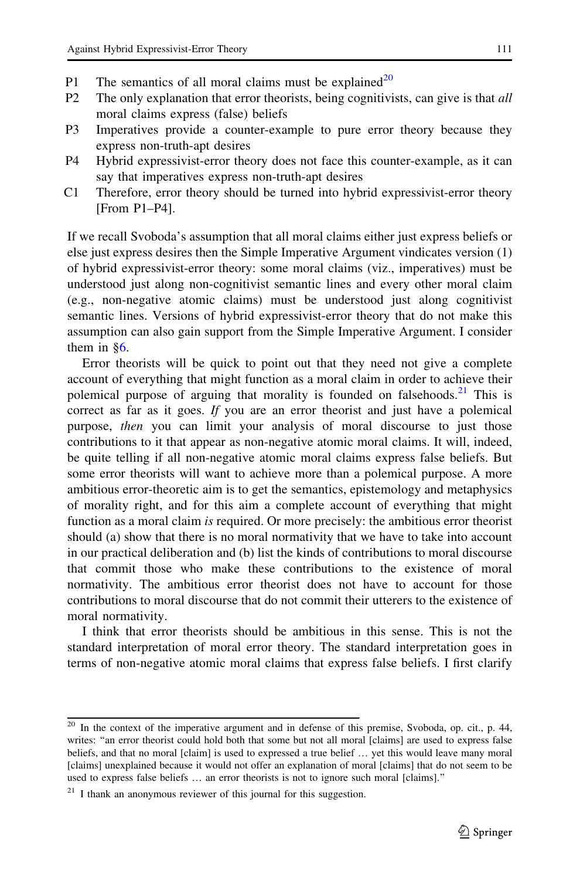- P1 The semantics of all moral claims must be explained<sup>20</sup>
- P2 The only explanation that error theorists, being cognitivists, can give is that all moral claims express (false) beliefs
- P3 Imperatives provide a counter-example to pure error theory because they express non-truth-apt desires
- P4 Hybrid expressivist-error theory does not face this counter-example, as it can say that imperatives express non-truth-apt desires
- C1 Therefore, error theory should be turned into hybrid expressivist-error theory [From P1–P4].

If we recall Svoboda's assumption that all moral claims either just express beliefs or else just express desires then the Simple Imperative Argument vindicates version (1) of hybrid expressivist-error theory: some moral claims (viz., imperatives) must be understood just along non-cognitivist semantic lines and every other moral claim (e.g., non-negative atomic claims) must be understood just along cognitivist semantic lines. Versions of hybrid expressivist-error theory that do not make this assumption can also gain support from the Simple Imperative Argument. I consider them in §[6.](#page-13-0)

Error theorists will be quick to point out that they need not give a complete account of everything that might function as a moral claim in order to achieve their polemical purpose of arguing that morality is founded on falsehoods.<sup>21</sup> This is correct as far as it goes. If you are an error theorist and just have a polemical purpose, then you can limit your analysis of moral discourse to just those contributions to it that appear as non-negative atomic moral claims. It will, indeed, be quite telling if all non-negative atomic moral claims express false beliefs. But some error theorists will want to achieve more than a polemical purpose. A more ambitious error-theoretic aim is to get the semantics, epistemology and metaphysics of morality right, and for this aim a complete account of everything that might function as a moral claim *is* required. Or more precisely: the ambitious error theorist should (a) show that there is no moral normativity that we have to take into account in our practical deliberation and (b) list the kinds of contributions to moral discourse that commit those who make these contributions to the existence of moral normativity. The ambitious error theorist does not have to account for those contributions to moral discourse that do not commit their utterers to the existence of moral normativity.

I think that error theorists should be ambitious in this sense. This is not the standard interpretation of moral error theory. The standard interpretation goes in terms of non-negative atomic moral claims that express false beliefs. I first clarify

 $20$  In the context of the imperative argument and in defense of this premise, Svoboda, op. cit., p. 44, writes: "an error theorist could hold both that some but not all moral [claims] are used to express false beliefs, and that no moral [claim] is used to expressed a true belief … yet this would leave many moral [claims] unexplained because it would not offer an explanation of moral [claims] that do not seem to be used to express false beliefs … an error theorists is not to ignore such moral [claims].''

 $21$  I thank an anonymous reviewer of this journal for this suggestion.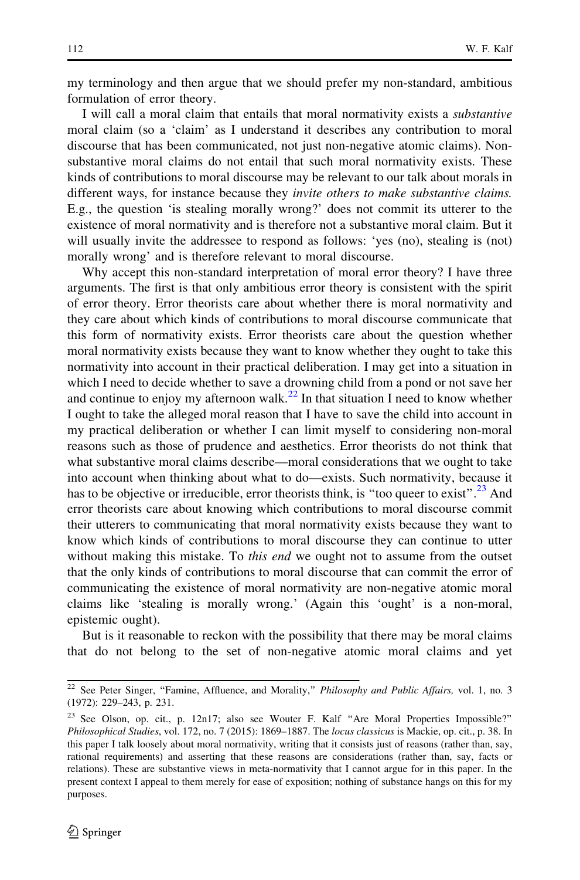my terminology and then argue that we should prefer my non-standard, ambitious formulation of error theory.

I will call a moral claim that entails that moral normativity exists a substantive moral claim (so a 'claim' as I understand it describes any contribution to moral discourse that has been communicated, not just non-negative atomic claims). Nonsubstantive moral claims do not entail that such moral normativity exists. These kinds of contributions to moral discourse may be relevant to our talk about morals in different ways, for instance because they *invite others to make substantive claims*. E.g., the question 'is stealing morally wrong?' does not commit its utterer to the existence of moral normativity and is therefore not a substantive moral claim. But it will usually invite the addressee to respond as follows: 'yes (no), stealing is (not) morally wrong' and is therefore relevant to moral discourse.

Why accept this non-standard interpretation of moral error theory? I have three arguments. The first is that only ambitious error theory is consistent with the spirit of error theory. Error theorists care about whether there is moral normativity and they care about which kinds of contributions to moral discourse communicate that this form of normativity exists. Error theorists care about the question whether moral normativity exists because they want to know whether they ought to take this normativity into account in their practical deliberation. I may get into a situation in which I need to decide whether to save a drowning child from a pond or not save her and continue to enjoy my afternoon walk.<sup>22</sup> In that situation I need to know whether I ought to take the alleged moral reason that I have to save the child into account in my practical deliberation or whether I can limit myself to considering non-moral reasons such as those of prudence and aesthetics. Error theorists do not think that what substantive moral claims describe—moral considerations that we ought to take into account when thinking about what to do—exists. Such normativity, because it has to be objective or irreducible, error theorists think, is "too queer to exist".<sup>23</sup> And error theorists care about knowing which contributions to moral discourse commit their utterers to communicating that moral normativity exists because they want to know which kinds of contributions to moral discourse they can continue to utter without making this mistake. To *this end* we ought not to assume from the outset that the only kinds of contributions to moral discourse that can commit the error of communicating the existence of moral normativity are non-negative atomic moral claims like 'stealing is morally wrong.' (Again this 'ought' is a non-moral, epistemic ought).

But is it reasonable to reckon with the possibility that there may be moral claims that do not belong to the set of non-negative atomic moral claims and yet

<sup>&</sup>lt;sup>22</sup> See Peter Singer, "Famine, Affluence, and Morality," Philosophy and Public Affairs, vol. 1, no. 3 (1972): 229–243, p. 231.

<sup>&</sup>lt;sup>23</sup> See Olson, op. cit., p. 12n17; also see Wouter F. Kalf "Are Moral Properties Impossible?" Philosophical Studies, vol. 172, no. 7 (2015): 1869–1887. The locus classicus is Mackie, op. cit., p. 38. In this paper I talk loosely about moral normativity, writing that it consists just of reasons (rather than, say, rational requirements) and asserting that these reasons are considerations (rather than, say, facts or relations). These are substantive views in meta-normativity that I cannot argue for in this paper. In the present context I appeal to them merely for ease of exposition; nothing of substance hangs on this for my purposes.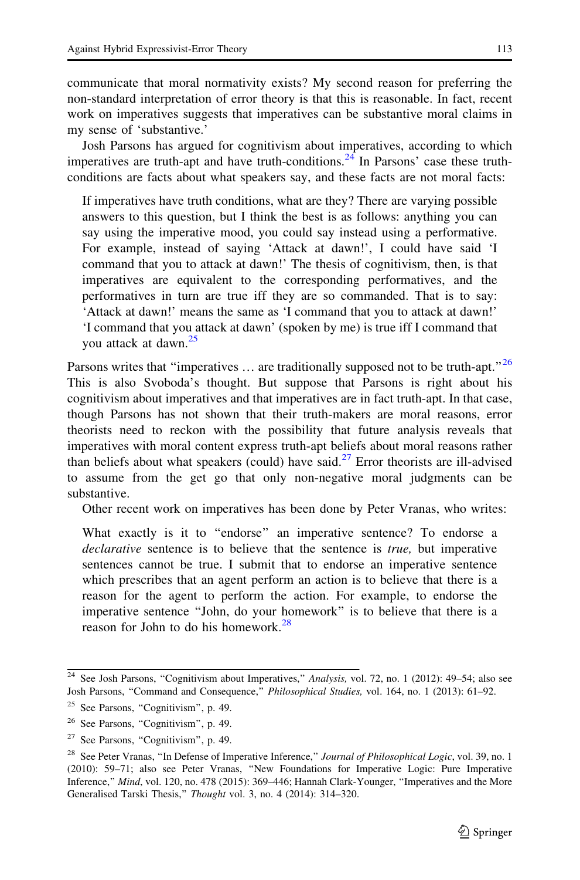communicate that moral normativity exists? My second reason for preferring the non-standard interpretation of error theory is that this is reasonable. In fact, recent work on imperatives suggests that imperatives can be substantive moral claims in my sense of 'substantive.'

Josh Parsons has argued for cognitivism about imperatives, according to which imperatives are truth-apt and have truth-conditions.<sup>24</sup> In Parsons' case these truthconditions are facts about what speakers say, and these facts are not moral facts:

If imperatives have truth conditions, what are they? There are varying possible answers to this question, but I think the best is as follows: anything you can say using the imperative mood, you could say instead using a performative. For example, instead of saying 'Attack at dawn!', I could have said 'I command that you to attack at dawn!' The thesis of cognitivism, then, is that imperatives are equivalent to the corresponding performatives, and the performatives in turn are true iff they are so commanded. That is to say: 'Attack at dawn!' means the same as 'I command that you to attack at dawn!' 'I command that you attack at dawn' (spoken by me) is true iff I command that you attack at dawn.<sup>25</sup>

Parsons writes that "imperatives  $\ldots$  are traditionally supposed not to be truth-apt."<sup>26</sup> This is also Svoboda's thought. But suppose that Parsons is right about his cognitivism about imperatives and that imperatives are in fact truth-apt. In that case, though Parsons has not shown that their truth-makers are moral reasons, error theorists need to reckon with the possibility that future analysis reveals that imperatives with moral content express truth-apt beliefs about moral reasons rather than beliefs about what speakers (could) have said.<sup>27</sup> Error theorists are ill-advised to assume from the get go that only non-negative moral judgments can be substantive.

Other recent work on imperatives has been done by Peter Vranas, who writes:

What exactly is it to "endorse" an imperative sentence? To endorse a declarative sentence is to believe that the sentence is true, but imperative sentences cannot be true. I submit that to endorse an imperative sentence which prescribes that an agent perform an action is to believe that there is a reason for the agent to perform the action. For example, to endorse the imperative sentence ''John, do your homework'' is to believe that there is a reason for John to do his homework.<sup>28</sup>

<sup>&</sup>lt;sup>24</sup> See Josh Parsons, "Cognitivism about Imperatives," Analysis, vol. 72, no. 1 (2012): 49–54; also see Josh Parsons, ''Command and Consequence,'' Philosophical Studies, vol. 164, no. 1 (2013): 61–92.

 $25$  See Parsons, "Cognitivism", p. 49.

<sup>&</sup>lt;sup>26</sup> See Parsons, "Cognitivism", p. 49.

<sup>&</sup>lt;sup>27</sup> See Parsons, "Cognitivism", p. 49.

<sup>&</sup>lt;sup>28</sup> See Peter Vranas, "In Defense of Imperative Inference," Journal of Philosophical Logic, vol. 39, no. 1 (2010): 59–71; also see Peter Vranas, ''New Foundations for Imperative Logic: Pure Imperative Inference,'' Mind, vol. 120, no. 478 (2015): 369–446; Hannah Clark-Younger, ''Imperatives and the More Generalised Tarski Thesis," Thought vol. 3, no. 4 (2014): 314–320.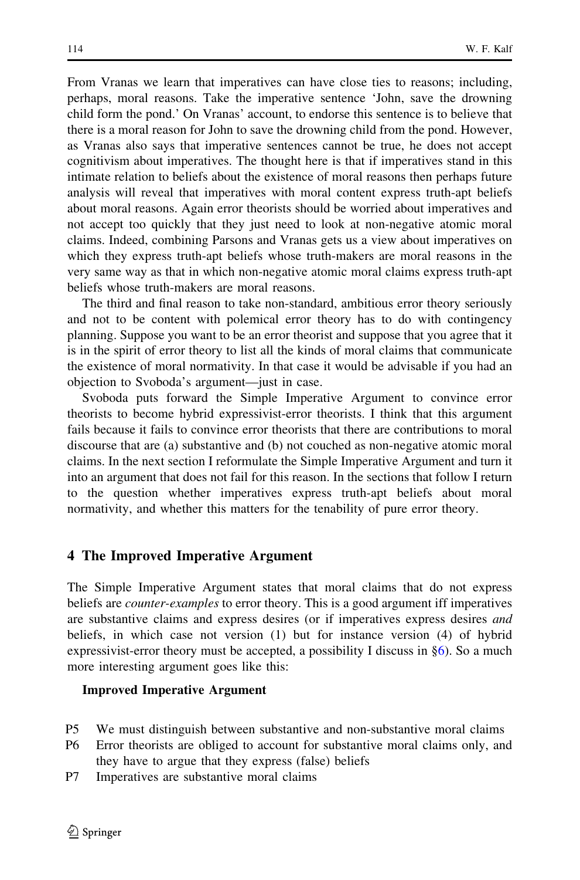<span id="page-9-0"></span>From Vranas we learn that imperatives can have close ties to reasons; including, perhaps, moral reasons. Take the imperative sentence 'John, save the drowning child form the pond.' On Vranas' account, to endorse this sentence is to believe that there is a moral reason for John to save the drowning child from the pond. However, as Vranas also says that imperative sentences cannot be true, he does not accept cognitivism about imperatives. The thought here is that if imperatives stand in this intimate relation to beliefs about the existence of moral reasons then perhaps future analysis will reveal that imperatives with moral content express truth-apt beliefs about moral reasons. Again error theorists should be worried about imperatives and not accept too quickly that they just need to look at non-negative atomic moral claims. Indeed, combining Parsons and Vranas gets us a view about imperatives on which they express truth-apt beliefs whose truth-makers are moral reasons in the very same way as that in which non-negative atomic moral claims express truth-apt beliefs whose truth-makers are moral reasons.

The third and final reason to take non-standard, ambitious error theory seriously and not to be content with polemical error theory has to do with contingency planning. Suppose you want to be an error theorist and suppose that you agree that it is in the spirit of error theory to list all the kinds of moral claims that communicate the existence of moral normativity. In that case it would be advisable if you had an objection to Svoboda's argument—just in case.

Svoboda puts forward the Simple Imperative Argument to convince error theorists to become hybrid expressivist-error theorists. I think that this argument fails because it fails to convince error theorists that there are contributions to moral discourse that are (a) substantive and (b) not couched as non-negative atomic moral claims. In the next section I reformulate the Simple Imperative Argument and turn it into an argument that does not fail for this reason. In the sections that follow I return to the question whether imperatives express truth-apt beliefs about moral normativity, and whether this matters for the tenability of pure error theory.

# 4 The Improved Imperative Argument

The Simple Imperative Argument states that moral claims that do not express beliefs are *counter-examples* to error theory. This is a good argument iff imperatives are substantive claims and express desires (or if imperatives express desires *and* beliefs, in which case not version (1) but for instance version (4) of hybrid expressivist-error theory must be accepted, a possibility I discuss in §[6\)](#page-13-0). So a much more interesting argument goes like this:

# Improved Imperative Argument

- P5 We must distinguish between substantive and non-substantive moral claims
- P6 Error theorists are obliged to account for substantive moral claims only, and they have to argue that they express (false) beliefs
- P7 Imperatives are substantive moral claims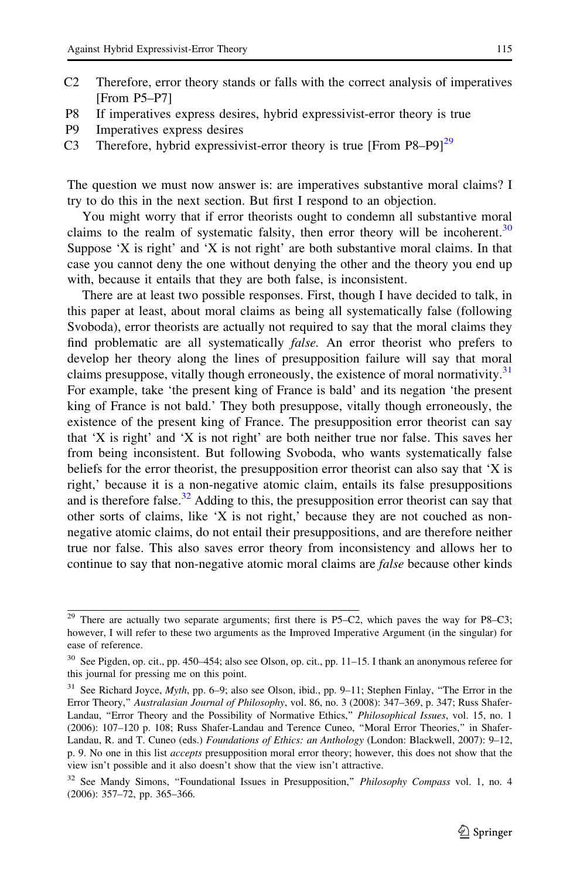- 
- C2 Therefore, error theory stands or falls with the correct analysis of imperatives [From P5–P7]
- P8 If imperatives express desires, hybrid expressivist-error theory is true
- P9 Imperatives express desires
- C3 Therefore, hybrid expressivist-error theory is true  $[From P8-P9]^{29}$

The question we must now answer is: are imperatives substantive moral claims? I try to do this in the next section. But first I respond to an objection.

You might worry that if error theorists ought to condemn all substantive moral claims to the realm of systematic falsity, then error theory will be incoherent.<sup>30</sup> Suppose 'X is right' and 'X is not right' are both substantive moral claims. In that case you cannot deny the one without denying the other and the theory you end up with, because it entails that they are both false, is inconsistent.

There are at least two possible responses. First, though I have decided to talk, in this paper at least, about moral claims as being all systematically false (following Svoboda), error theorists are actually not required to say that the moral claims they find problematic are all systematically false. An error theorist who prefers to develop her theory along the lines of presupposition failure will say that moral claims presuppose, vitally though erroneously, the existence of moral normativity. $31$ For example, take 'the present king of France is bald' and its negation 'the present king of France is not bald.' They both presuppose, vitally though erroneously, the existence of the present king of France. The presupposition error theorist can say that 'X is right' and 'X is not right' are both neither true nor false. This saves her from being inconsistent. But following Svoboda, who wants systematically false beliefs for the error theorist, the presupposition error theorist can also say that 'X is right,' because it is a non-negative atomic claim, entails its false presuppositions and is therefore false.<sup>32</sup> Adding to this, the presupposition error theorist can say that other sorts of claims, like 'X is not right,' because they are not couched as nonnegative atomic claims, do not entail their presuppositions, and are therefore neither true nor false. This also saves error theory from inconsistency and allows her to continue to say that non-negative atomic moral claims are *false* because other kinds

 $29$  There are actually two separate arguments; first there is P5–C2, which paves the way for P8–C3; however, I will refer to these two arguments as the Improved Imperative Argument (in the singular) for ease of reference.

<sup>&</sup>lt;sup>30</sup> See Pigden, op. cit., pp. 450–454; also see Olson, op. cit., pp. 11–15. I thank an anonymous referee for this journal for pressing me on this point.

<sup>&</sup>lt;sup>31</sup> See Richard Joyce, *Myth*, pp. 6–9; also see Olson, ibid., pp. 9–11; Stephen Finlay, "The Error in the Error Theory," Australasian Journal of Philosophy, vol. 86, no. 3 (2008): 347-369, p. 347; Russ Shafer-Landau, "Error Theory and the Possibility of Normative Ethics," Philosophical Issues, vol. 15, no. 1 (2006): 107–120 p. 108; Russ Shafer-Landau and Terence Cuneo, ''Moral Error Theories,'' in Shafer-Landau, R. and T. Cuneo (eds.) Foundations of Ethics: an Anthology (London: Blackwell, 2007): 9-12, p. 9. No one in this list accepts presupposition moral error theory; however, this does not show that the view isn't possible and it also doesn't show that the view isn't attractive.

<sup>&</sup>lt;sup>32</sup> See Mandy Simons, "Foundational Issues in Presupposition," Philosophy Compass vol. 1, no. 4 (2006): 357–72, pp. 365–366.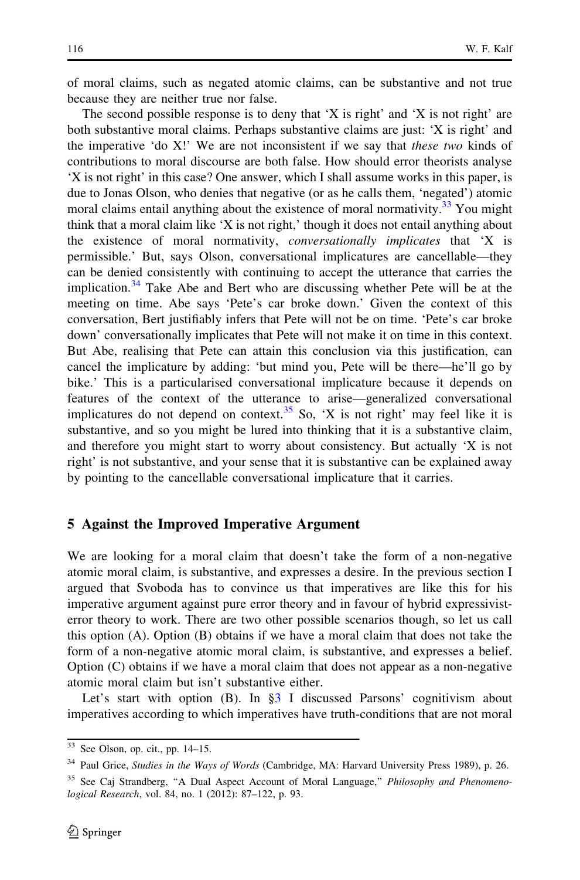<span id="page-11-0"></span>of moral claims, such as negated atomic claims, can be substantive and not true because they are neither true nor false.

The second possible response is to deny that  $X$  is right' and  $X$  is not right' are both substantive moral claims. Perhaps substantive claims are just: 'X is right' and the imperative 'do X!' We are not inconsistent if we say that these two kinds of contributions to moral discourse are both false. How should error theorists analyse 'X is not right' in this case? One answer, which I shall assume works in this paper, is due to Jonas Olson, who denies that negative (or as he calls them, 'negated') atomic moral claims entail anything about the existence of moral normativity.<sup>33</sup> You might think that a moral claim like 'X is not right,' though it does not entail anything about the existence of moral normativity, conversationally implicates that 'X is permissible.' But, says Olson, conversational implicatures are cancellable—they can be denied consistently with continuing to accept the utterance that carries the implication.<sup>34</sup> Take Abe and Bert who are discussing whether Pete will be at the meeting on time. Abe says 'Pete's car broke down.' Given the context of this conversation, Bert justifiably infers that Pete will not be on time. 'Pete's car broke down' conversationally implicates that Pete will not make it on time in this context. But Abe, realising that Pete can attain this conclusion via this justification, can cancel the implicature by adding: 'but mind you, Pete will be there—he'll go by bike.' This is a particularised conversational implicature because it depends on features of the context of the utterance to arise—generalized conversational implicatures do not depend on context.<sup>35</sup> So, 'X is not right' may feel like it is substantive, and so you might be lured into thinking that it is a substantive claim, and therefore you might start to worry about consistency. But actually 'X is not right' is not substantive, and your sense that it is substantive can be explained away by pointing to the cancellable conversational implicature that it carries.

#### 5 Against the Improved Imperative Argument

We are looking for a moral claim that doesn't take the form of a non-negative atomic moral claim, is substantive, and expresses a desire. In the previous section I argued that Svoboda has to convince us that imperatives are like this for his imperative argument against pure error theory and in favour of hybrid expressivisterror theory to work. There are two other possible scenarios though, so let us call this option (A). Option (B) obtains if we have a moral claim that does not take the form of a non-negative atomic moral claim, is substantive, and expresses a belief. Option (C) obtains if we have a moral claim that does not appear as a non-negative atomic moral claim but isn't substantive either.

Let's start with option (B). In [§3](#page-5-0) I discussed Parsons' cognitivism about imperatives according to which imperatives have truth-conditions that are not moral

 $\overline{33}$  See Olson, op. cit., pp. 14–15.

<sup>&</sup>lt;sup>34</sup> Paul Grice, Studies in the Ways of Words (Cambridge, MA: Harvard University Press 1989), p. 26.

<sup>&</sup>lt;sup>35</sup> See Caj Strandberg, "A Dual Aspect Account of Moral Language," Philosophy and Phenomenological Research, vol. 84, no. 1 (2012): 87–122, p. 93.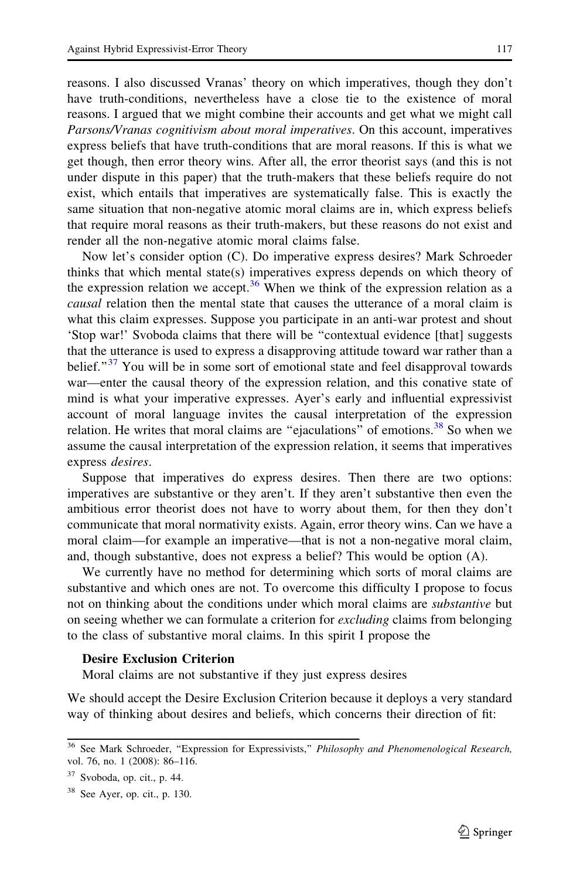reasons. I also discussed Vranas' theory on which imperatives, though they don't have truth-conditions, nevertheless have a close tie to the existence of moral reasons. I argued that we might combine their accounts and get what we might call Parsons/Vranas cognitivism about moral imperatives. On this account, imperatives express beliefs that have truth-conditions that are moral reasons. If this is what we get though, then error theory wins. After all, the error theorist says (and this is not under dispute in this paper) that the truth-makers that these beliefs require do not exist, which entails that imperatives are systematically false. This is exactly the same situation that non-negative atomic moral claims are in, which express beliefs that require moral reasons as their truth-makers, but these reasons do not exist and render all the non-negative atomic moral claims false.

Now let's consider option (C). Do imperative express desires? Mark Schroeder thinks that which mental state(s) imperatives express depends on which theory of the expression relation we accept.<sup>36</sup> When we think of the expression relation as a causal relation then the mental state that causes the utterance of a moral claim is what this claim expresses. Suppose you participate in an anti-war protest and shout 'Stop war!' Svoboda claims that there will be ''contextual evidence [that] suggests that the utterance is used to express a disapproving attitude toward war rather than a belief."<sup>37</sup> You will be in some sort of emotional state and feel disapproval towards war—enter the causal theory of the expression relation, and this conative state of mind is what your imperative expresses. Ayer's early and influential expressivist account of moral language invites the causal interpretation of the expression relation. He writes that moral claims are "ejaculations" of emotions.<sup>38</sup> So when we assume the causal interpretation of the expression relation, it seems that imperatives express desires.

Suppose that imperatives do express desires. Then there are two options: imperatives are substantive or they aren't. If they aren't substantive then even the ambitious error theorist does not have to worry about them, for then they don't communicate that moral normativity exists. Again, error theory wins. Can we have a moral claim—for example an imperative—that is not a non-negative moral claim, and, though substantive, does not express a belief? This would be option (A).

We currently have no method for determining which sorts of moral claims are substantive and which ones are not. To overcome this difficulty I propose to focus not on thinking about the conditions under which moral claims are *substantive* but on seeing whether we can formulate a criterion for *excluding* claims from belonging to the class of substantive moral claims. In this spirit I propose the

#### Desire Exclusion Criterion

Moral claims are not substantive if they just express desires

We should accept the Desire Exclusion Criterion because it deploys a very standard way of thinking about desires and beliefs, which concerns their direction of fit:

<sup>&</sup>lt;sup>36</sup> See Mark Schroeder, "Expression for Expressivists," Philosophy and Phenomenological Research, vol. 76, no. 1 (2008): 86–116.

 $37$  Svoboda, op. cit., p. 44.

 $38$  See Ayer, op. cit., p. 130.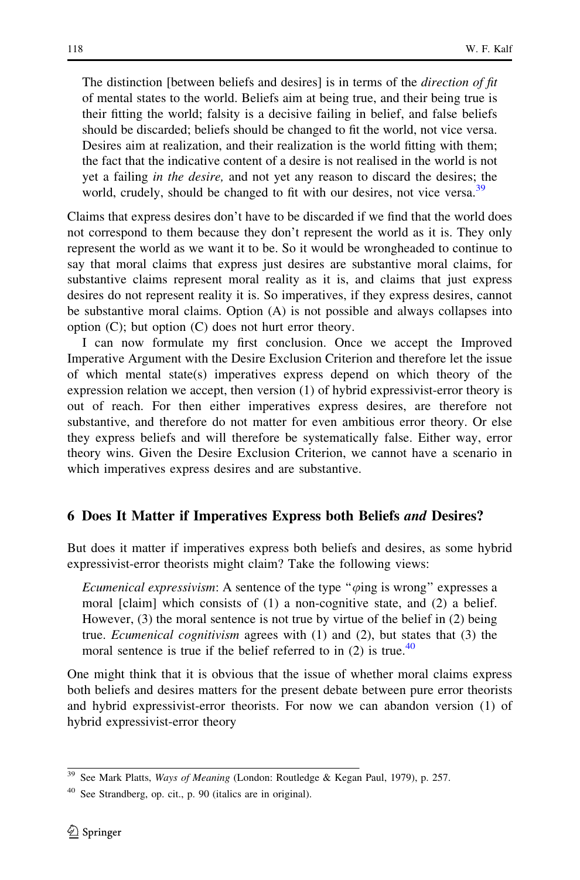<span id="page-13-0"></span>The distinction [between beliefs and desires] is in terms of the *direction of fit* of mental states to the world. Beliefs aim at being true, and their being true is their fitting the world; falsity is a decisive failing in belief, and false beliefs should be discarded; beliefs should be changed to fit the world, not vice versa. Desires aim at realization, and their realization is the world fitting with them; the fact that the indicative content of a desire is not realised in the world is not yet a failing in the desire, and not yet any reason to discard the desires; the world, crudely, should be changed to fit with our desires, not vice versa.<sup>39</sup>

Claims that express desires don't have to be discarded if we find that the world does not correspond to them because they don't represent the world as it is. They only represent the world as we want it to be. So it would be wrongheaded to continue to say that moral claims that express just desires are substantive moral claims, for substantive claims represent moral reality as it is, and claims that just express desires do not represent reality it is. So imperatives, if they express desires, cannot be substantive moral claims. Option (A) is not possible and always collapses into option  $(C)$ ; but option  $(C)$  does not hurt error theory.

I can now formulate my first conclusion. Once we accept the Improved Imperative Argument with the Desire Exclusion Criterion and therefore let the issue of which mental state(s) imperatives express depend on which theory of the expression relation we accept, then version (1) of hybrid expressivist-error theory is out of reach. For then either imperatives express desires, are therefore not substantive, and therefore do not matter for even ambitious error theory. Or else they express beliefs and will therefore be systematically false. Either way, error theory wins. Given the Desire Exclusion Criterion, we cannot have a scenario in which imperatives express desires and are substantive.

#### 6 Does It Matter if Imperatives Express both Beliefs and Desires?

But does it matter if imperatives express both beliefs and desires, as some hybrid expressivist-error theorists might claim? Take the following views:

Ecumenical expressivism: A sentence of the type " $\varphi$ ing is wrong" expresses a moral [claim] which consists of (1) a non-cognitive state, and (2) a belief. However, (3) the moral sentence is not true by virtue of the belief in (2) being true. Ecumenical cognitivism agrees with (1) and (2), but states that (3) the moral sentence is true if the belief referred to in  $(2)$  is true.<sup>40</sup>

One might think that it is obvious that the issue of whether moral claims express both beliefs and desires matters for the present debate between pure error theorists and hybrid expressivist-error theorists. For now we can abandon version (1) of hybrid expressivist-error theory

<sup>&</sup>lt;sup>39</sup> See Mark Platts, Ways of Meaning (London: Routledge & Kegan Paul, 1979), p. 257.

<sup>40</sup> See Strandberg, op. cit., p. 90 (italics are in original).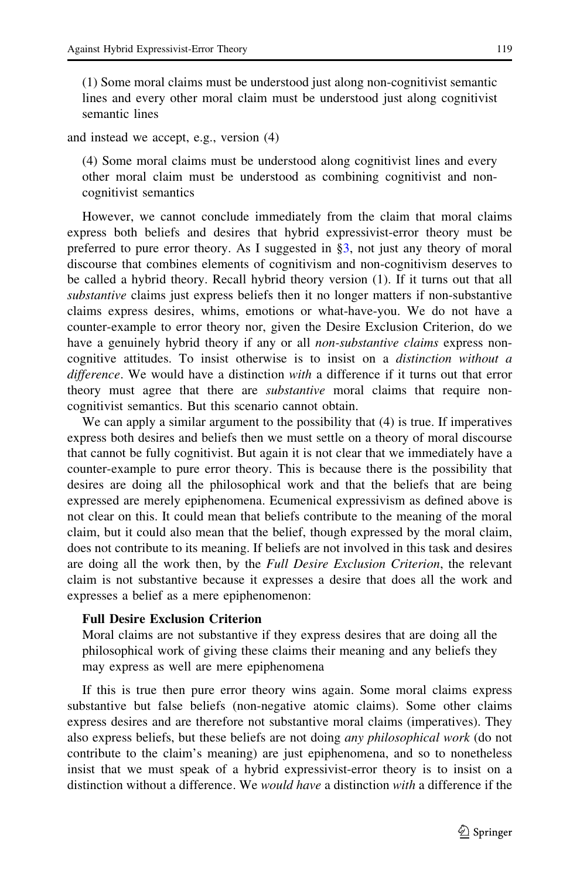(1) Some moral claims must be understood just along non-cognitivist semantic lines and every other moral claim must be understood just along cognitivist semantic lines

and instead we accept, e.g., version (4)

(4) Some moral claims must be understood along cognitivist lines and every other moral claim must be understood as combining cognitivist and noncognitivist semantics

However, we cannot conclude immediately from the claim that moral claims express both beliefs and desires that hybrid expressivist-error theory must be preferred to pure error theory. As I suggested in  $\S3$ , not just any theory of moral discourse that combines elements of cognitivism and non-cognitivism deserves to be called a hybrid theory. Recall hybrid theory version (1). If it turns out that all substantive claims just express beliefs then it no longer matters if non-substantive claims express desires, whims, emotions or what-have-you. We do not have a counter-example to error theory nor, given the Desire Exclusion Criterion, do we have a genuinely hybrid theory if any or all *non-substantive claims* express noncognitive attitudes. To insist otherwise is to insist on a distinction without a difference. We would have a distinction with a difference if it turns out that error theory must agree that there are *substantive* moral claims that require noncognitivist semantics. But this scenario cannot obtain.

We can apply a similar argument to the possibility that (4) is true. If imperatives express both desires and beliefs then we must settle on a theory of moral discourse that cannot be fully cognitivist. But again it is not clear that we immediately have a counter-example to pure error theory. This is because there is the possibility that desires are doing all the philosophical work and that the beliefs that are being expressed are merely epiphenomena. Ecumenical expressivism as defined above is not clear on this. It could mean that beliefs contribute to the meaning of the moral claim, but it could also mean that the belief, though expressed by the moral claim, does not contribute to its meaning. If beliefs are not involved in this task and desires are doing all the work then, by the *Full Desire Exclusion Criterion*, the relevant claim is not substantive because it expresses a desire that does all the work and expresses a belief as a mere epiphenomenon:

# Full Desire Exclusion Criterion

Moral claims are not substantive if they express desires that are doing all the philosophical work of giving these claims their meaning and any beliefs they may express as well are mere epiphenomena

If this is true then pure error theory wins again. Some moral claims express substantive but false beliefs (non-negative atomic claims). Some other claims express desires and are therefore not substantive moral claims (imperatives). They also express beliefs, but these beliefs are not doing any philosophical work (do not contribute to the claim's meaning) are just epiphenomena, and so to nonetheless insist that we must speak of a hybrid expressivist-error theory is to insist on a distinction without a difference. We *would have* a distinction with a difference if the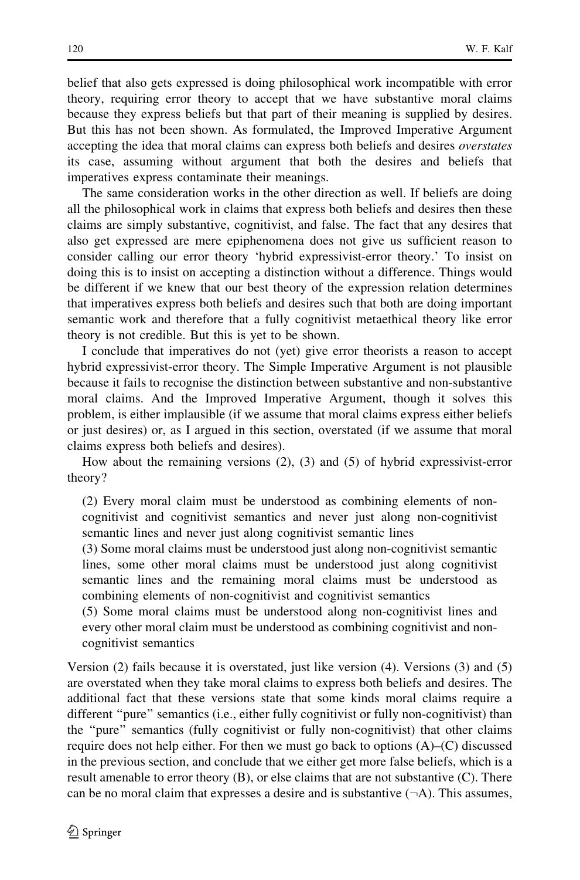belief that also gets expressed is doing philosophical work incompatible with error theory, requiring error theory to accept that we have substantive moral claims because they express beliefs but that part of their meaning is supplied by desires. But this has not been shown. As formulated, the Improved Imperative Argument accepting the idea that moral claims can express both beliefs and desires overstates its case, assuming without argument that both the desires and beliefs that imperatives express contaminate their meanings.

The same consideration works in the other direction as well. If beliefs are doing all the philosophical work in claims that express both beliefs and desires then these claims are simply substantive, cognitivist, and false. The fact that any desires that also get expressed are mere epiphenomena does not give us sufficient reason to consider calling our error theory 'hybrid expressivist-error theory.' To insist on doing this is to insist on accepting a distinction without a difference. Things would be different if we knew that our best theory of the expression relation determines that imperatives express both beliefs and desires such that both are doing important semantic work and therefore that a fully cognitivist metaethical theory like error theory is not credible. But this is yet to be shown.

I conclude that imperatives do not (yet) give error theorists a reason to accept hybrid expressivist-error theory. The Simple Imperative Argument is not plausible because it fails to recognise the distinction between substantive and non-substantive moral claims. And the Improved Imperative Argument, though it solves this problem, is either implausible (if we assume that moral claims express either beliefs or just desires) or, as I argued in this section, overstated (if we assume that moral claims express both beliefs and desires).

How about the remaining versions (2), (3) and (5) of hybrid expressivist-error theory?

(2) Every moral claim must be understood as combining elements of noncognitivist and cognitivist semantics and never just along non-cognitivist semantic lines and never just along cognitivist semantic lines

(3) Some moral claims must be understood just along non-cognitivist semantic lines, some other moral claims must be understood just along cognitivist semantic lines and the remaining moral claims must be understood as combining elements of non-cognitivist and cognitivist semantics

(5) Some moral claims must be understood along non-cognitivist lines and every other moral claim must be understood as combining cognitivist and noncognitivist semantics

Version (2) fails because it is overstated, just like version (4). Versions (3) and (5) are overstated when they take moral claims to express both beliefs and desires. The additional fact that these versions state that some kinds moral claims require a different ''pure'' semantics (i.e., either fully cognitivist or fully non-cognitivist) than the ''pure'' semantics (fully cognitivist or fully non-cognitivist) that other claims require does not help either. For then we must go back to options  $(A)$ – $(C)$  discussed in the previous section, and conclude that we either get more false beliefs, which is a result amenable to error theory (B), or else claims that are not substantive (C). There can be no moral claim that expresses a desire and is substantive  $(\neg A)$ . This assumes,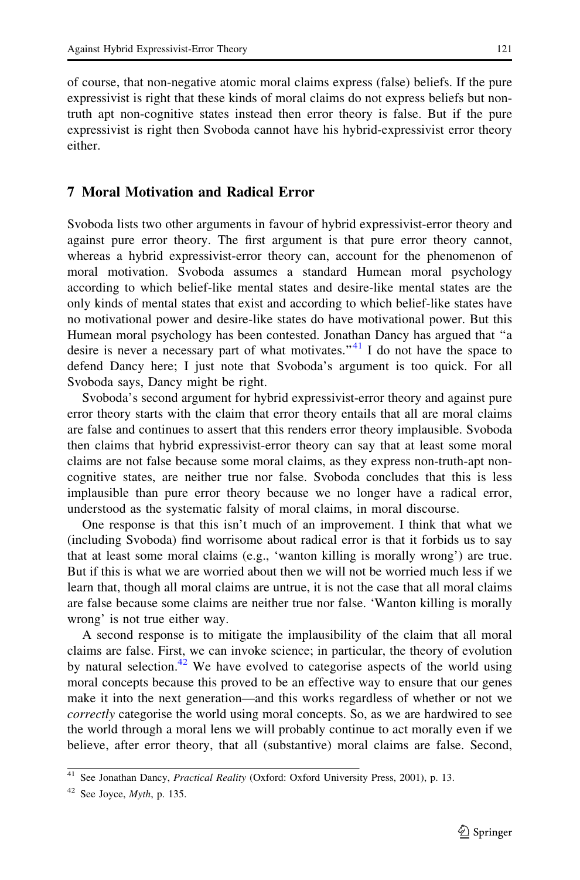<span id="page-16-0"></span>of course, that non-negative atomic moral claims express (false) beliefs. If the pure expressivist is right that these kinds of moral claims do not express beliefs but nontruth apt non-cognitive states instead then error theory is false. But if the pure expressivist is right then Svoboda cannot have his hybrid-expressivist error theory either.

# 7 Moral Motivation and Radical Error

Svoboda lists two other arguments in favour of hybrid expressivist-error theory and against pure error theory. The first argument is that pure error theory cannot, whereas a hybrid expressivist-error theory can, account for the phenomenon of moral motivation. Svoboda assumes a standard Humean moral psychology according to which belief-like mental states and desire-like mental states are the only kinds of mental states that exist and according to which belief-like states have no motivational power and desire-like states do have motivational power. But this Humean moral psychology has been contested. Jonathan Dancy has argued that ''a desire is never a necessary part of what motivates.<sup>"41</sup> I do not have the space to defend Dancy here; I just note that Svoboda's argument is too quick. For all Svoboda says, Dancy might be right.

Svoboda's second argument for hybrid expressivist-error theory and against pure error theory starts with the claim that error theory entails that all are moral claims are false and continues to assert that this renders error theory implausible. Svoboda then claims that hybrid expressivist-error theory can say that at least some moral claims are not false because some moral claims, as they express non-truth-apt noncognitive states, are neither true nor false. Svoboda concludes that this is less implausible than pure error theory because we no longer have a radical error, understood as the systematic falsity of moral claims, in moral discourse.

One response is that this isn't much of an improvement. I think that what we (including Svoboda) find worrisome about radical error is that it forbids us to say that at least some moral claims (e.g., 'wanton killing is morally wrong') are true. But if this is what we are worried about then we will not be worried much less if we learn that, though all moral claims are untrue, it is not the case that all moral claims are false because some claims are neither true nor false. 'Wanton killing is morally wrong' is not true either way.

A second response is to mitigate the implausibility of the claim that all moral claims are false. First, we can invoke science; in particular, the theory of evolution by natural selection.<sup>42</sup> We have evolved to categorise aspects of the world using moral concepts because this proved to be an effective way to ensure that our genes make it into the next generation—and this works regardless of whether or not we correctly categorise the world using moral concepts. So, as we are hardwired to see the world through a moral lens we will probably continue to act morally even if we believe, after error theory, that all (substantive) moral claims are false. Second,

<sup>&</sup>lt;sup>41</sup> See Jonathan Dancy, *Practical Reality* (Oxford: Oxford University Press, 2001), p. 13.

 $42$  See Joyce, *Myth*, p. 135.